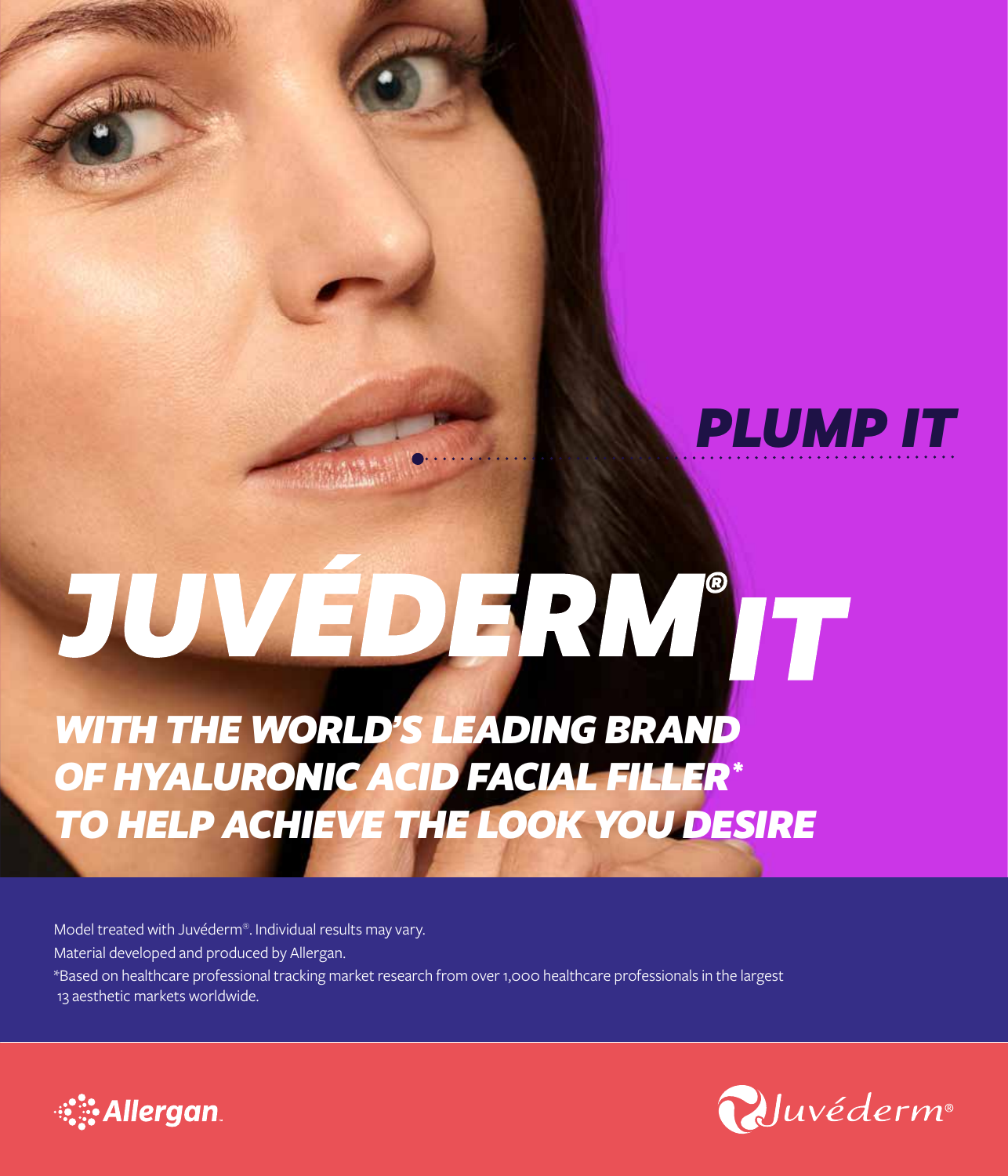

# JUVÉDERM'IT

*WITH THE WORLD'S LEADING BRAND OF HYALURONIC ACID FACIAL FILLER\* TO HELP ACHIEVE THE LOOK YOU DESIRE*

Model treated with Juvéderm®. Individual results may vary. Material developed and produced by Allergan. \*Based on healthcare professional tracking market research from over 1,000 healthcare professionals in the largest 13 aesthetic markets worldwide.



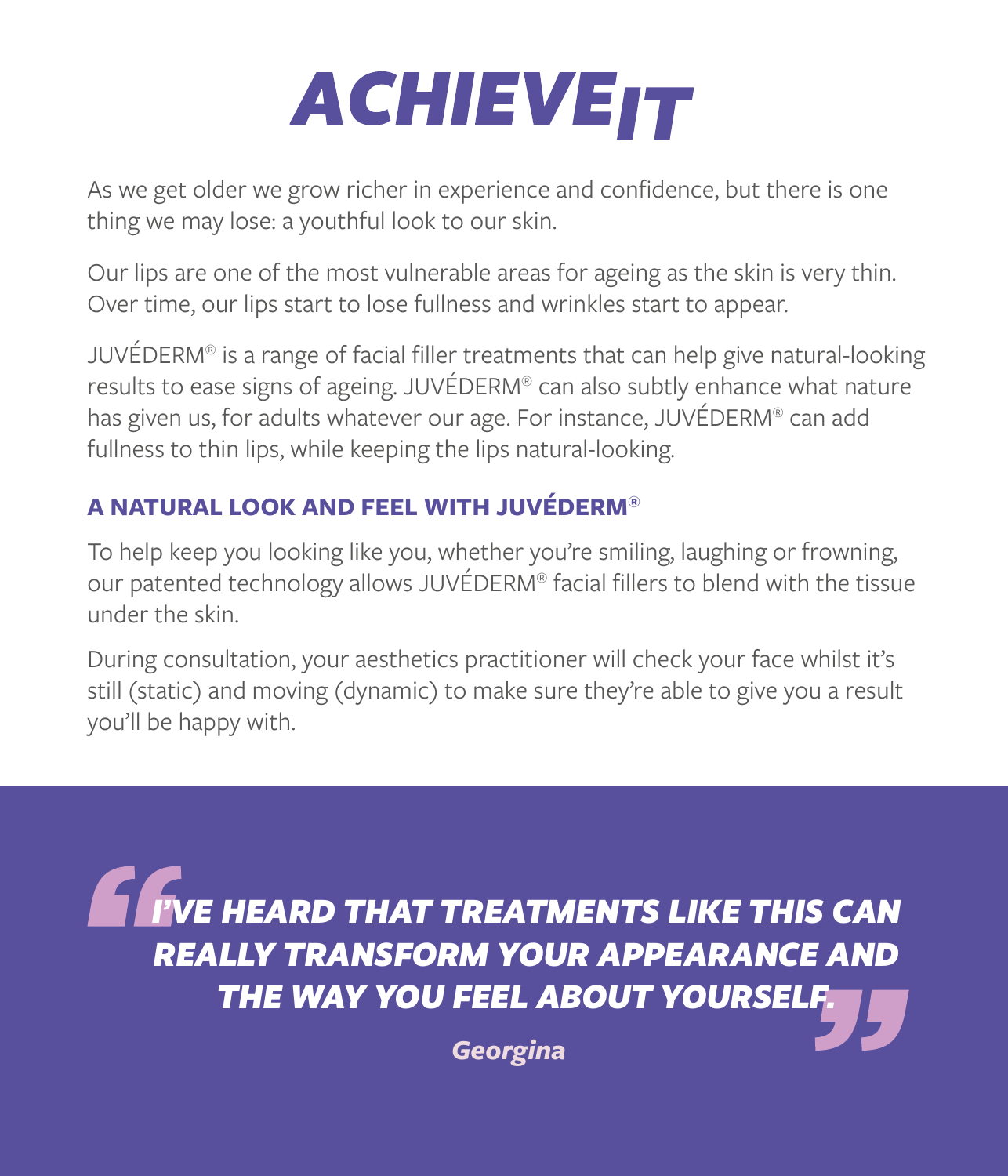## **ACHIEVEIT**

As we get older we grow richer in experience and confidence, but there is one thing we may lose: a youthful look to our skin.

Our lips are one of the most vulnerable areas for ageing as the skin is very thin. Over time, our lips start to lose fullness and wrinkles start to appear.

JUVÉDERM® is a range of facial filler treatments that can help give natural-looking results to ease signs of ageing. JUVÉDERM® can also subtly enhance what nature has given us, for adults whatever our age. For instance, JUVÉDERM® can add fullness to thin lips, while keeping the lips natural-looking.

### **A NATURAL LOOK AND FEEL WITH JUVÉDERM®**

To help keep you looking like you, whether you're smiling, laughing or frowning, our patented technology allows JUVÉDERM® facial fillers to blend with the tissue under the skin.

During consultation, your aesthetics practitioner will check your face whilst it's still (static) and moving (dynamic) to make sure they're able to give you a result you'll be happy with.

**IF THE HEARD THAT TREATMENTS LIKE THIS CAN** *REALLY TRANSFORM YOUR APPEARANCE AND*  **THE WAY YOU FEEL ABOUT YOURSEL** 

*Georgina*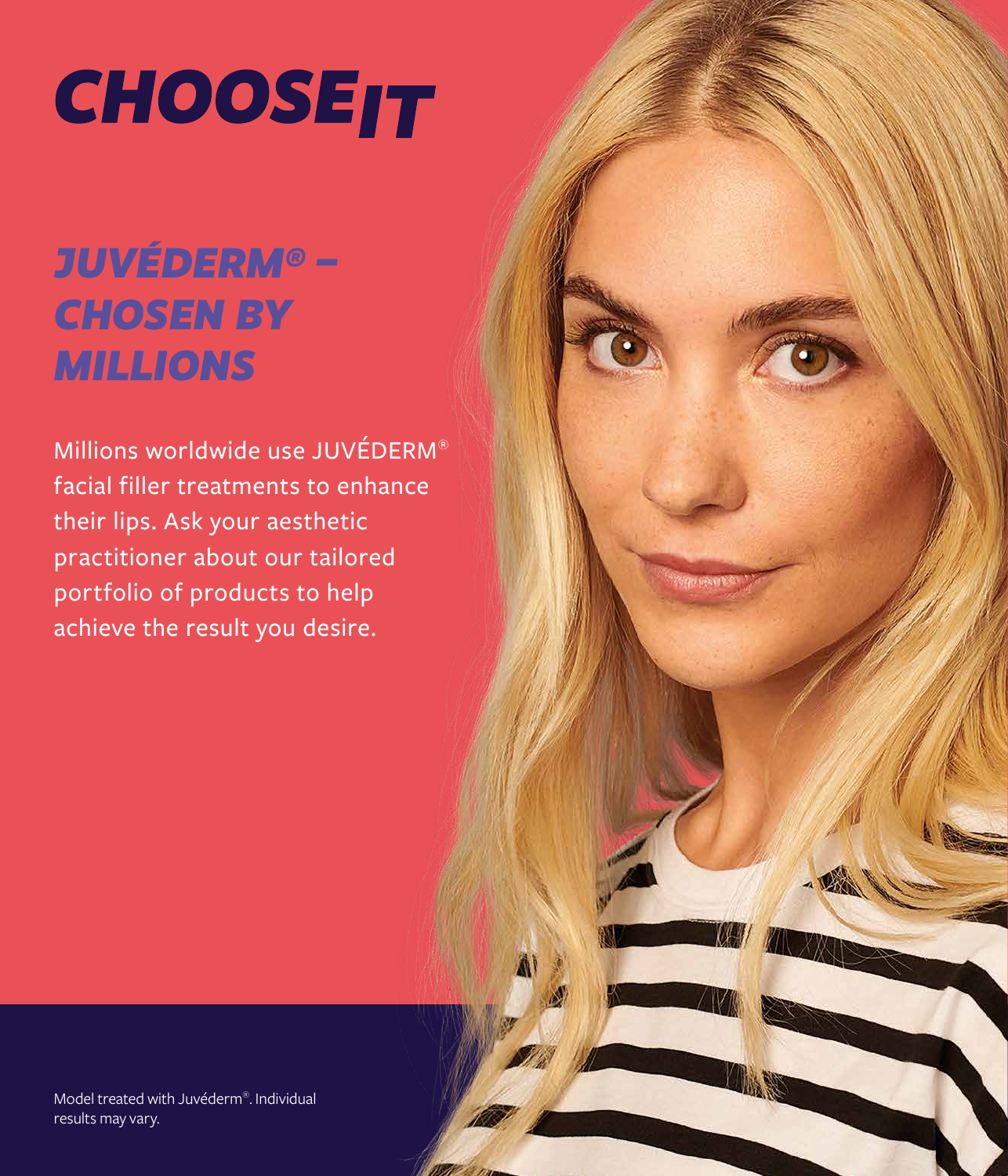# **CHOOSEIT**

### *JUVÉDERM® – CHOSEN BY MILLIONS*

Millions worldwide use JUVÉDERM® facial filler treatments to enhance their lips. Ask your aesthetic practitioner about our tailored portfolio of products to help achieve the result you desire.

Model treated with Juvéderm®. Individual results may vary.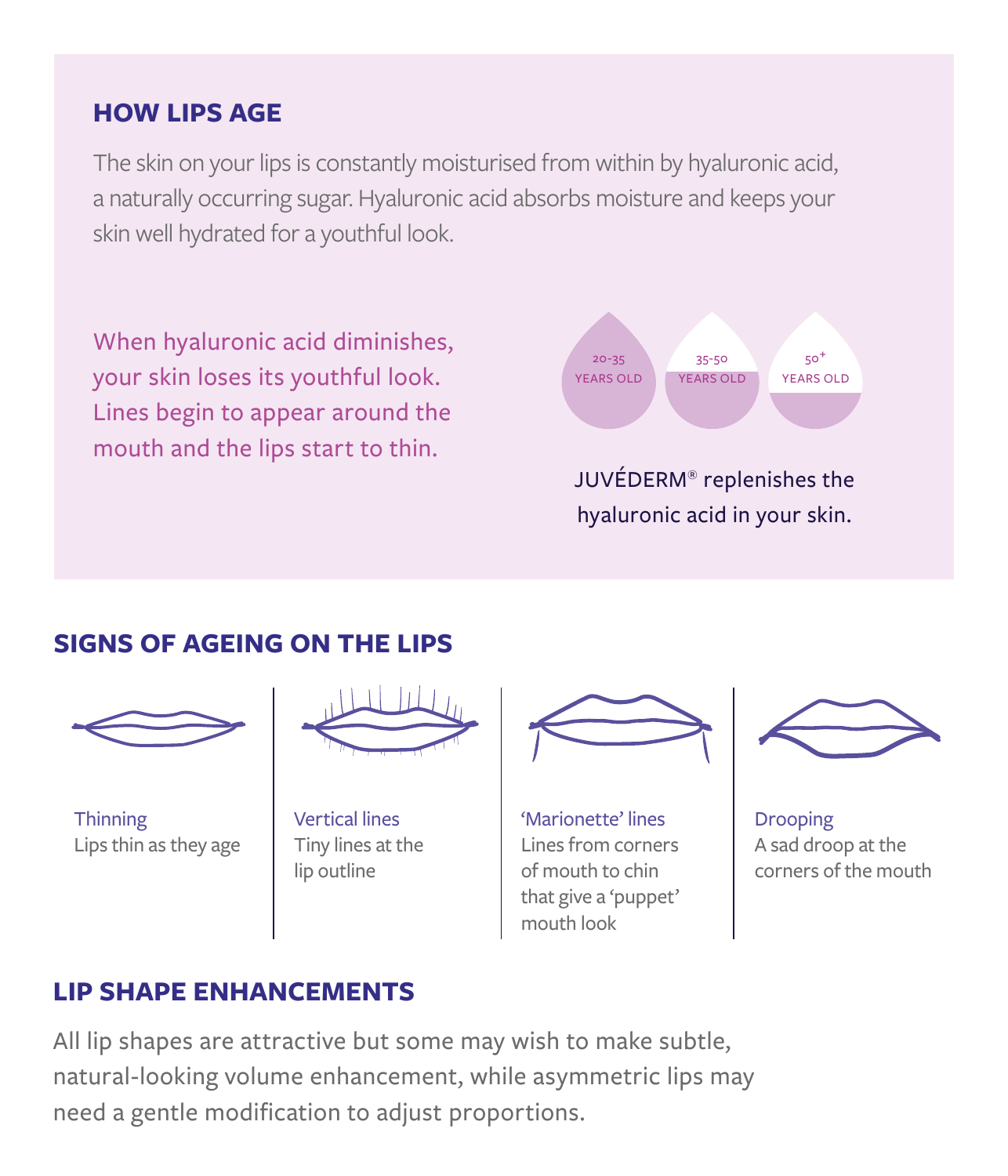### **HOW LIPS AGE**

The skin on your lips is constantly moisturised from within by hyaluronic acid, a naturally occurring sugar. Hyaluronic acid absorbs moisture and keeps your skin well hydrated for a youthful look.

When hyaluronic acid diminishes, your skin loses its youthful look. Lines begin to appear around the mouth and the lips start to thin.



hyaluronic acid in your skin.

### **SIGNS OF AGEING ON THE LIPS**



**Thinning** Lips thin as they age



Vertical lines Tiny lines at the lip outline



'Marionette' lines Lines from corners of mouth to chin that give a 'puppet' mouth look



Drooping A sad droop at the corners of the mouth

### **LIP SHAPE ENHANCEMENTS**

All lip shapes are attractive but some may wish to make subtle, natural-looking volume enhancement, while asymmetric lips may need a gentle modification to adjust proportions.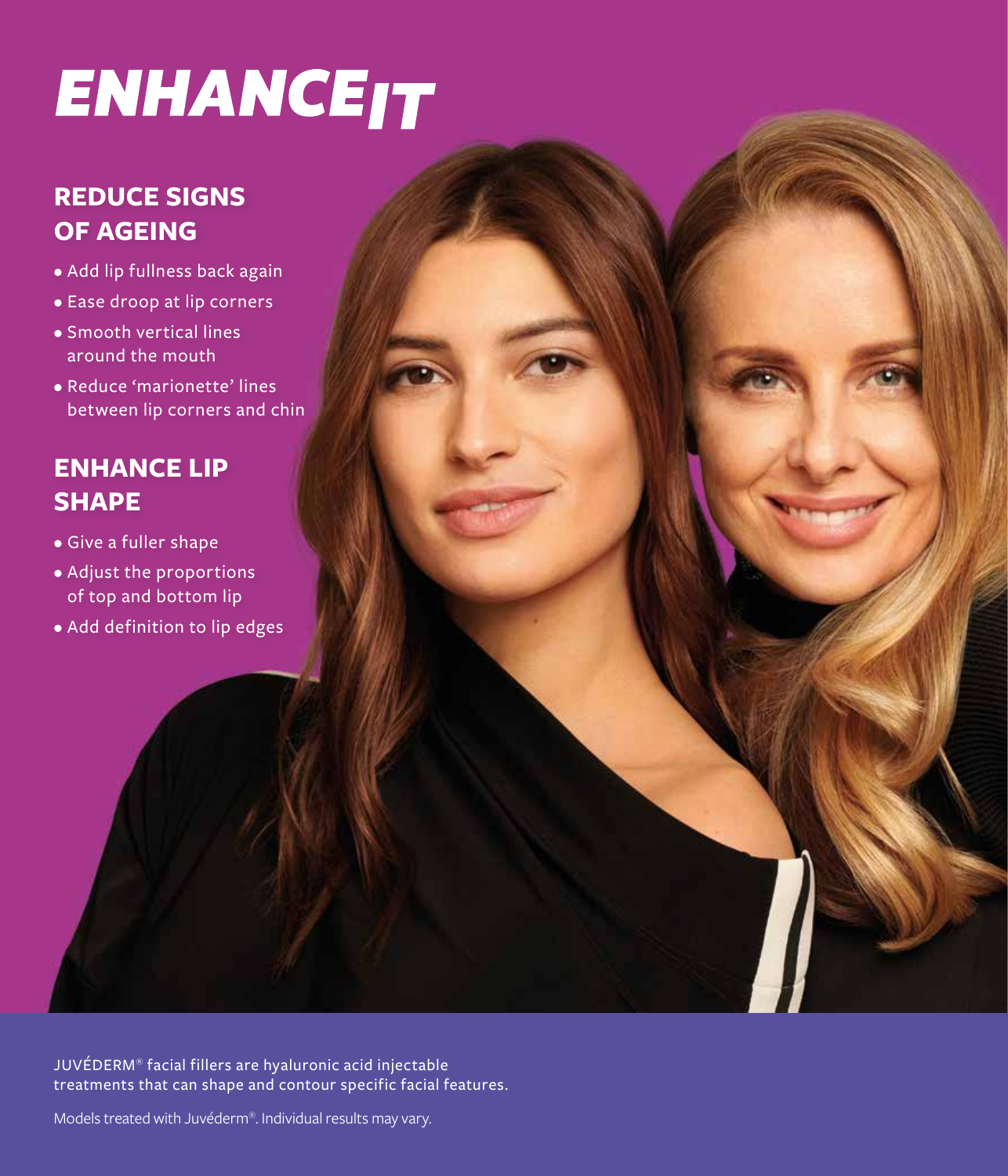### **ENHANCE<sub>IT</sub>**

### **REDUCE SIGNS OF AGEING**

- Add lip fullness back again
- Ease droop at lip corners
- Smooth vertical lines around the mouth
- Reduce 'marionette' lines between lip corners and chin

### **ENHANCE LIP SHAPE**

- Give a fuller shape
- Adjust the proportions of top and bottom lip
- Add definition to lip edges

JUVÉDERM® facial fillers are hyaluronic acid injectable treatments that can shape and contour specific facial features.

Models treated with Juvéderm®. Individual results may vary.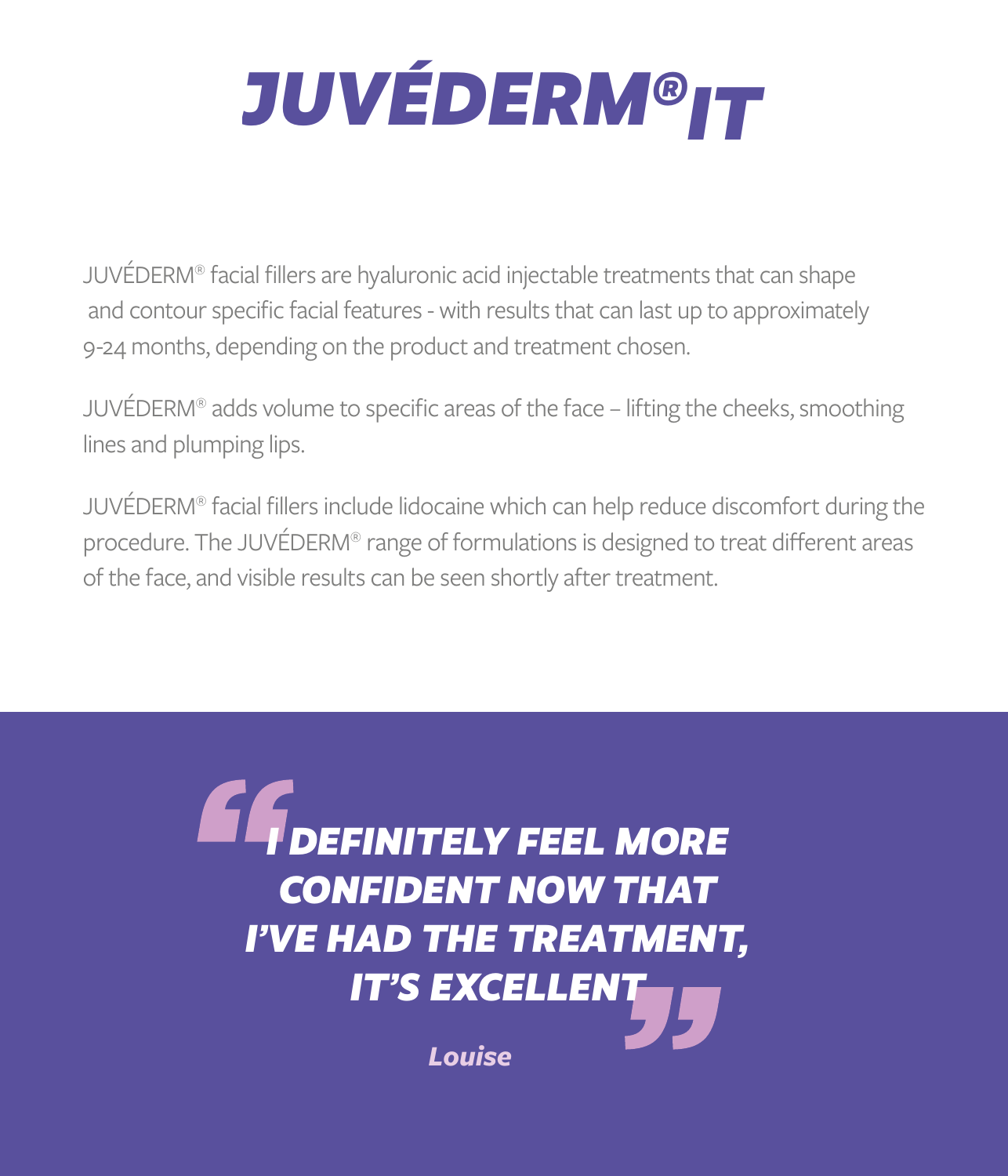

JUVÉDERM® facial fillers are hyaluronic acid injectable treatments that can shape and contour specific facial features - with results that can last up to approximately 9-24 months, depending on the product and treatment chosen.

JUVÉDERM® adds volume to specific areas of the face – lifting the cheeks, smoothing lines and plumping lips.

JUVÉDERM® facial fillers include lidocaine which can help reduce discomfort during the procedure. The JUVÉDERM® range of formulations is designed to treat different areas of the face, and visible results can be seen shortly after treatment.

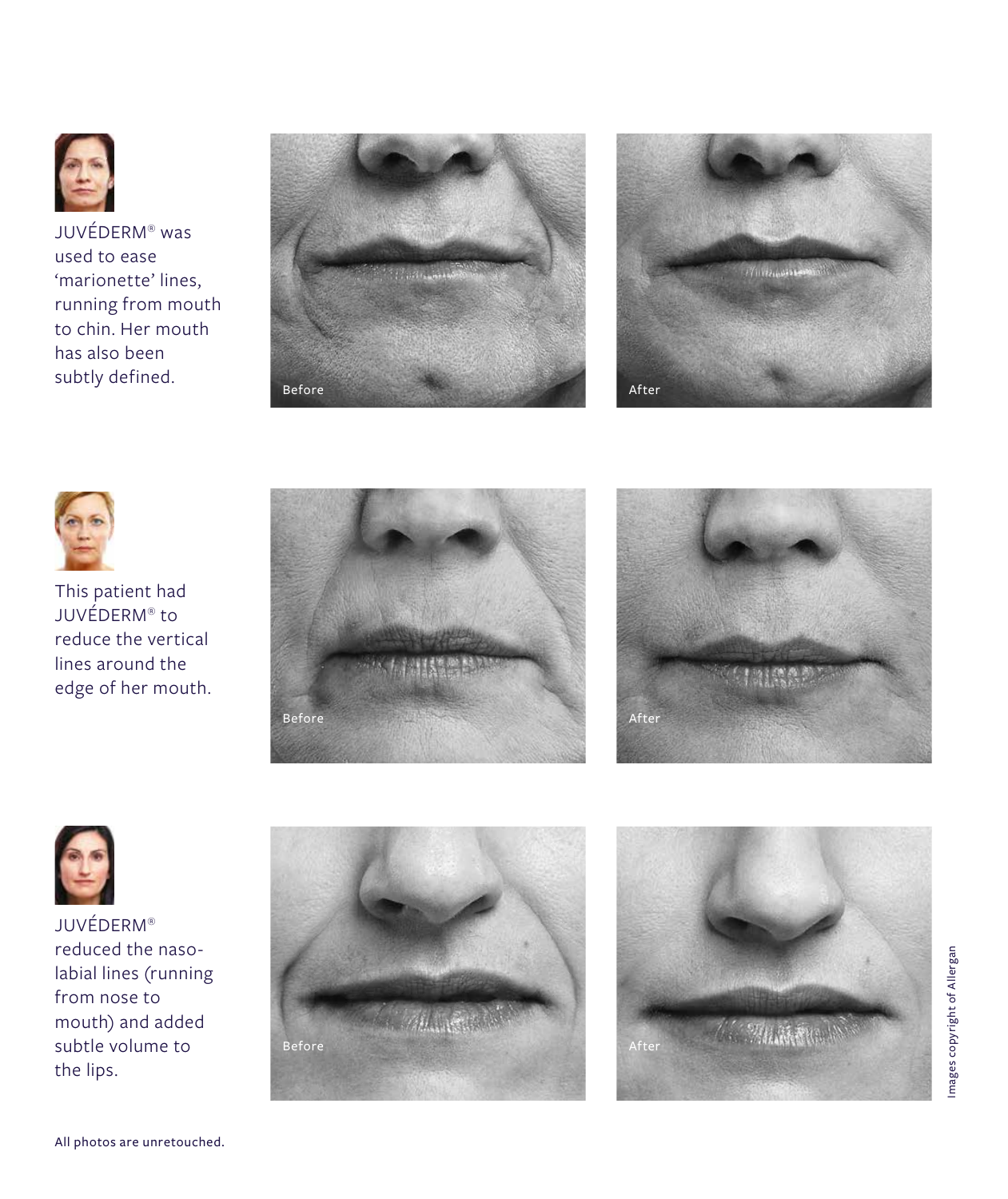

JUVÉDERM ® was used to ease 'marionette' lines, running from mouth to chin. Her mouth has also been subtly defined.







This patient had JUVÉDERM ® to reduce the vertical lines around the edge of her mouth.







JUVÉDERM ® reduced the nasolabial lines (running from nose to mouth) and added subtle volume to the lips.



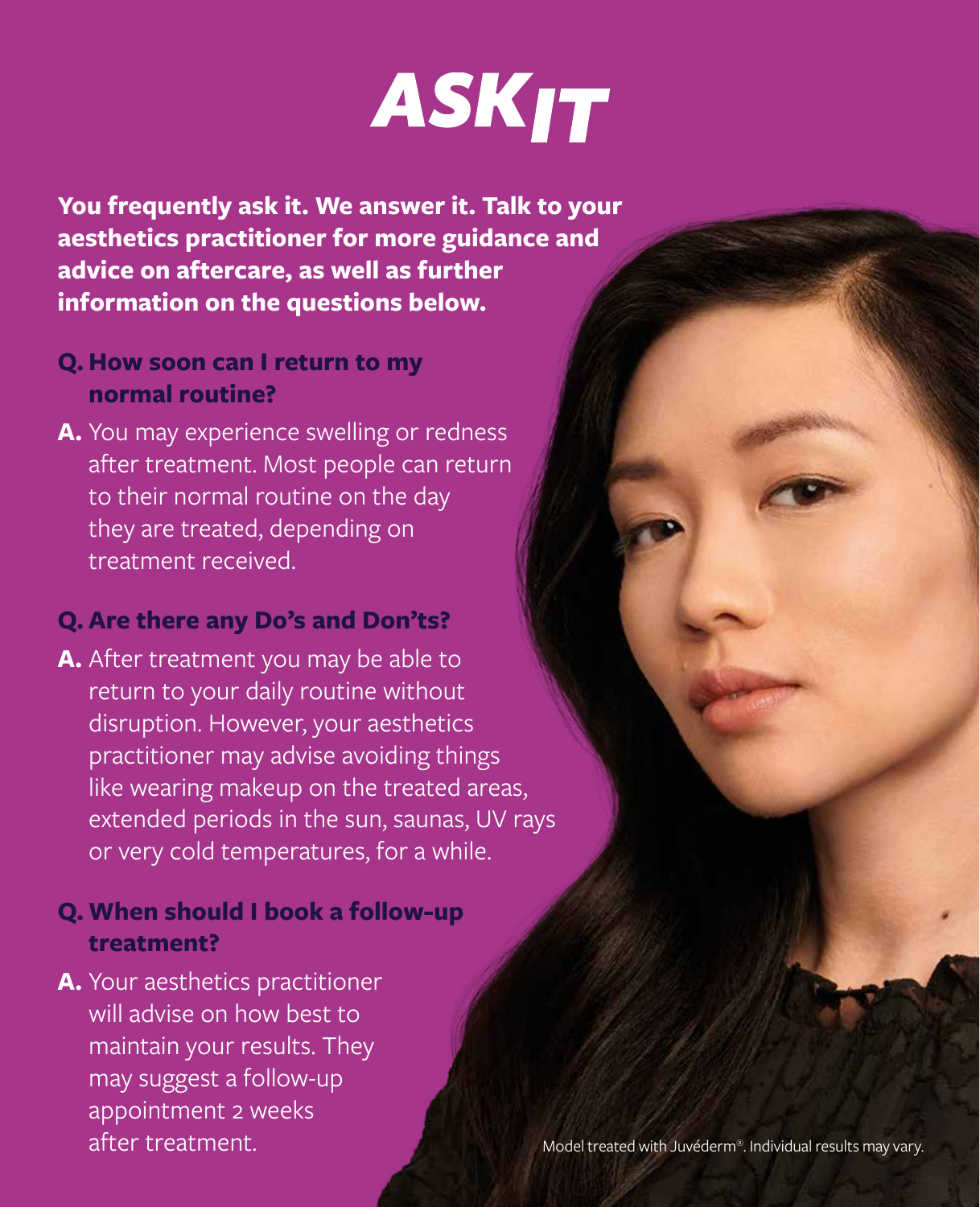# **ASKIT**

**You frequently ask it. We answer it. Talk to your aesthetics practitioner for more guidance and advice on aftercare, as well as further information on the questions below.** 

- **Q.How soon can I return to my normal routine?**
- **A.** You may experience swelling or redness after treatment. Most people can return to their normal routine on the day they are treated, depending on treatment received.

#### **Q. Are there any Do's and Don'ts?**

**A.** After treatment you may be able to return to your daily routine without disruption. However, your aesthetics practitioner may advise avoiding things like wearing makeup on the treated areas, extended periods in the sun, saunas, UV rays or very cold temperatures, for a while.

### **Q. When should I book a follow-up treatment?**

**A.** Your aesthetics practitioner will advise on how best to maintain your results. They may suggest a follow-up appointment 2 weeks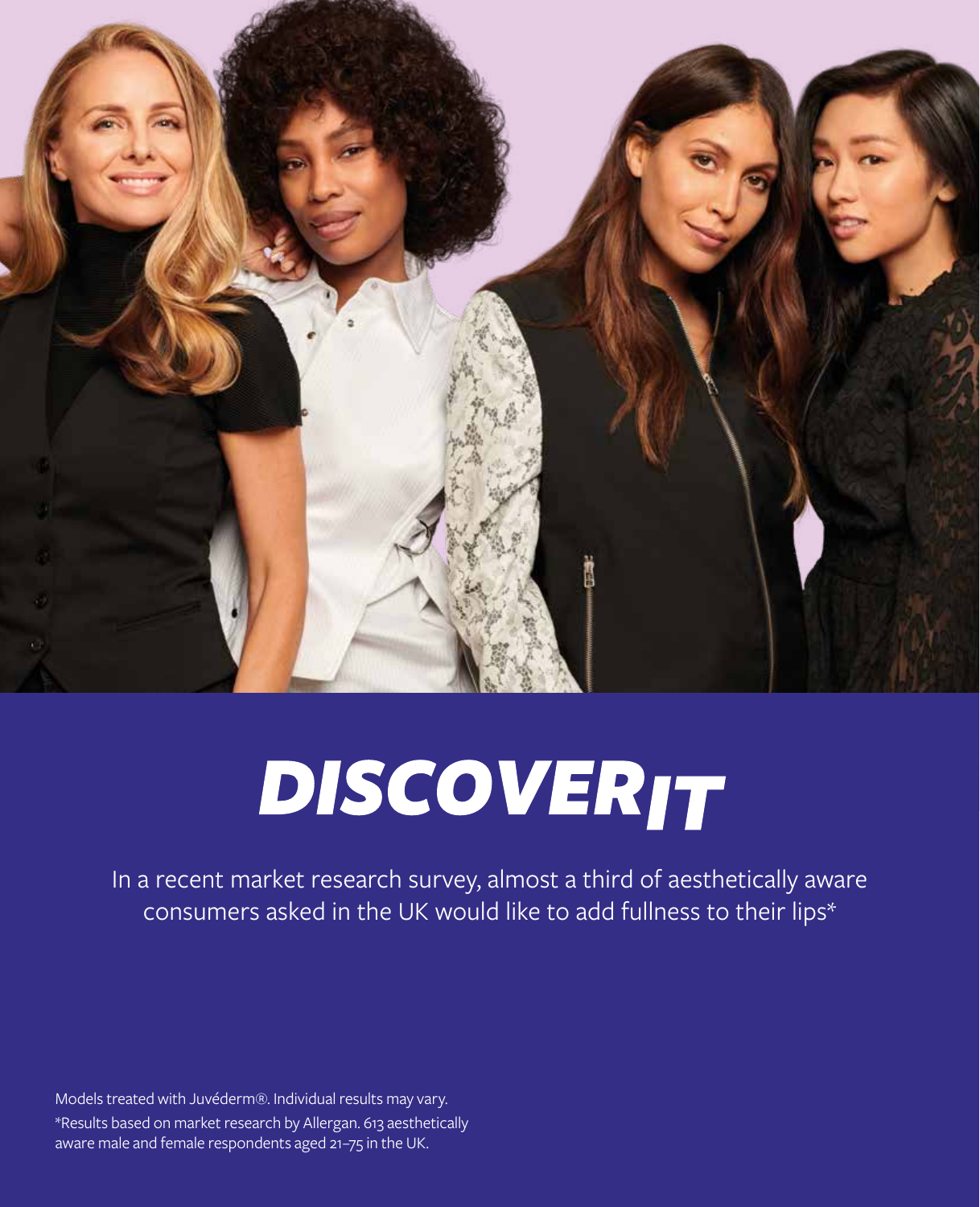

# **DISCOVERIT**

In a recent market research survey, almost a third of aesthetically aware consumers asked in the UK would like to add fullness to their lips\*

Models treated with Juvéderm®. Individual results may vary. \*Results based on market research by Allergan. 613 aesthetically aware male and female respondents aged 21–75 in the UK.